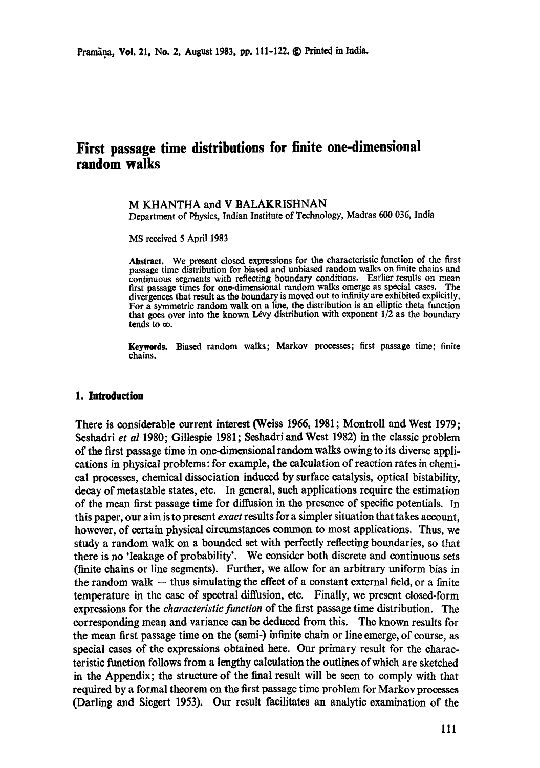# **First passage time distributions for finite one-dimensional random walks**

# M KHANTHA and V BALAKRISHNAN

Department of Physics, Indian Institute of Technology, Madras 600 036, India

MS received 5 April 1983

Abstract. We present dosed expressions for the characteristic function of the first passage time distribution for biased and unbiased random walks on finite chains and continuous segments with reflecting boundary conditions. Earlier results on mean<br>first passage times for one-dimensional random walks emerge as special cases. The first passage times for one-dimensional random walks emerge as special cases. divergences that result as the boundary is moved out to infinity are exhibited explicitly. For a symmetric random walk on a line, the distribution is an elliptic theta function that goes over into the known Lévy distribution with exponent  $1/2$  as the boundary tends to  $\infty$ .

Keywords. Biased random walks; Markov processes; first passage time; finite chains.

## **1. Introduction**

There is considerable current interest (Weiss 1966, 1981; Montroll and West 1979; Seshadri *et al* 1980; Gillespie 1981; Seshadri and West 1982) in the classic problem of the first passage time in one-dimensional random walks owing to its diverse applications in physical problems: for example, the calculation of reaction rates in chemical processes, chemical dissociation induced by surface catalysis, optical bistability, decay of metastable states, etc. In general, such applications require the estimation of the mean first passage time for diffusion in the presence of specific potentials. In this paper, our aim is to present *exact* results for a simpler situation that takes account, however, of certain physical circumstances common to most applications. Thus, we study a random walk on a bounded set with perfectly reflecting boundaries, so that there is no 'leakage of probability'. We consider both discrete and continuous sets (finite chains or line segments). Further, we allow for an arbitrary uniform bias in the random walk  $-$  thus simulating the effect of a constant external field, or a finite temperature in the case of spectral diffusion, etc. Finally, we present closed-form expressions for the *characteristic function* of the first passage time distribution. The corresponding mean and variance can be deduced from this. The known results for the mean first passage time on the (semi-) infinite chain or line emerge, of course, as special eases of the expressions obtained here. Our primary result for the characteristic function follows from a lengthy calculation the outlines of which are sketched in the Appendix; the structure of the final result will be seen to comply with that required by a formal theorem on the first passage time problem for Markov processes (Darling and Siegert 1953). Our result facilitates an analytic examination of the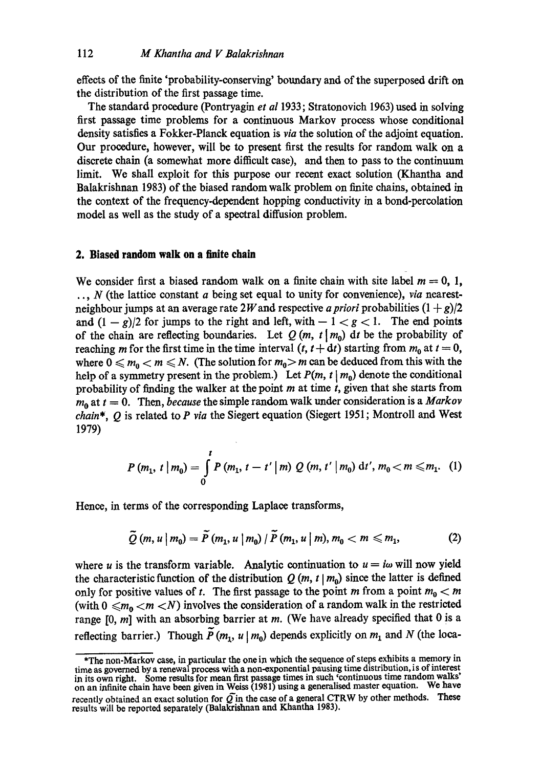effects of the finite 'probability-conserving' boundary and of the superposed drift on the distribution of the first passage time.

The standard procedure (Pontryagin *et al* 1933; Stratonovich 1963) used in solving first passage time problems for a continuous Markov process whose conditional density satisfies a Fokker-Planck equation is *via* the solution of the adjoint equation. Our procedure, however, will be to present first the results for random walk on a discrete chain (a somewhat more difficult case), and then to pass to the continuum limit. We shall exploit for this purpose our recent exact solution (Khantha and Balakrishnan 1983) of the biased random walk problem on finite chains, obtained in the context of the frequency-dependent hopping conductivity in a bond-percolation model as well as the study of a spectral diffusion problem.

## **2. Biased random walk on a finite chain**

We consider first a biased random walk on a finite chain with site label  $m = 0, 1$ , .., N (the lattice constant a being set equal to unity for convenience), *via* nearestneighbour jumps at an average rate 2*W* and respective *a priori* probabilities  $(1+g)/2$ and  $(1 - g)/2$  for jumps to the right and left, with  $-1 < g < 1$ . The end points of the chain are reflecting boundaries. Let  $Q(m, t | m_0)$  dt be the probability of reaching m for the first time in the time interval  $(t, t + dt)$  starting from  $m_0$  at  $t = 0$ , where  $0 \leq m_0 < m \leq N$ . (The solution for  $m_0 > m$  can be deduced from this with the help of a symmetry present in the problem.) Let  $P(m, t | m_0)$  denote the conditional probability of finding the walker at the point  $m$  at time  $t$ , given that she starts from  $m_0$  at  $t = 0$ . Then, *because* the simple random walk under consideration is a *Markov chain\*, Q* is related to *P via* the Siegert equation (Siegert 1951 ; Montroll and West 1979)

$$
P(m_1, t | m_0) = \int_0^t P(m_1, t - t' | m) Q(m, t' | m_0) dt', m_0 < m \leq m_1.
$$
 (1)

Hence, in terms of the corresponding Laplace transforms,

$$
\tilde{Q}(m, u \mid m_0) = \tilde{P}(m_1, u \mid m_0) / \tilde{P}(m_1, u \mid m), m_0 < m \leq m_1,
$$
 (2)

where u is the transform variable. Analytic continuation to  $u = i\omega$  will now yield the characteristic function of the distribution  $Q(m, t | m_0)$  since the latter is defined only for positive values of t. The first passage to the point m from a point  $m_0 < m$ (with  $0 \le m_0 < m < N$ ) involves the consideration of a random walk in the restricted range  $[0, m]$  with an absorbing barrier at m. (We have already specified that 0 is a reflecting barrier.) Though  $\widetilde{P}(m_1, u | m_0)$  depends explicitly on  $m_1$  and N (the loca-

<sup>\*</sup>The non-Markov case, in particular the one in which the sequence of steps exhibits a memory in time as governed by a renewal process with a non-exponential pausing time distribution, is of interest in its own right. Some results for mean first passage times in such 'continuous time random walks' on an infinite chain have been **given in** Weiss (1981) using a generalised master equation. We have recently obtained an exact solution for  $\tilde{Q}$  in the case of a general CTRW by other methods. These results will be reported separately (Balakrishnan and Khantha 1983).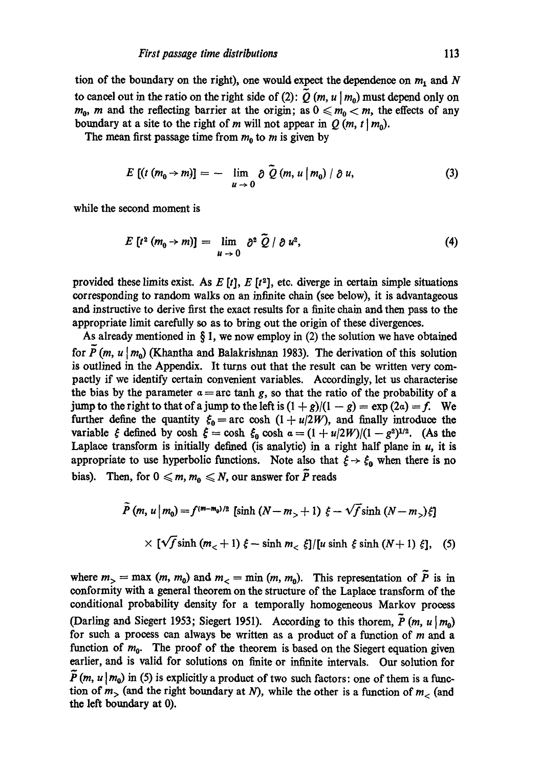tion of the boundary on the right), one would expect the dependence on  $m_1$  and N to cancel out in the ratio on the right side of (2):  $\tilde{Q}$  (m, u | m<sub>0</sub>) must depend only on  $m_0$ , m and the reflecting barrier at the origin; as  $0 \le m_0 < m$ , the effects of any boundary at a site to the right of m will not appear in  $Q(m, t | m_0)$ .

The mean first passage time from  $m_0$  to m is given by

$$
E [(t (m_0 \rightarrow m)] = - \lim_{u \rightarrow 0} \partial \tilde{Q} (m, u | m_0) / \partial u,
$$
 (3)

while the second moment is

$$
E[t^2(m_0 \to m)] = \lim_{u \to 0} \partial^2 \widetilde{Q} / \partial u^2, \qquad (4)
$$

provided these limits exist. As  $E[t]$ ,  $E[t^2]$ , etc. diverge in certain simple situations corresponding to random walks on an infinite chain (see below), it is advantageous and instructive to derive first the exact results for a finite chain and then pass to the appropriate limit carefully so as to bring out the origin of these divergences.

As already mentioned in  $\S 1$ , we now employ in (2) the solution we have obtained for  $\tilde{P}(m, u \mid m_0)$  (Khantha and Balakrishnan 1983). The derivation of this solution is outlined in the Appendix. It turns out that the result can be written very compactly if we identify certain convenient variables. Accordingly, let us eharaeterise the bias by the parameter  $a = arc \tanh g$ , so that the ratio of the probability of a jump to the right to that of a jump to the left is  $(1 + g)/(1 - g) = \exp(2a) = f$ . We further define the quantity  $\zeta_0 = \text{arc} \cosh (1 + u/2W)$ , and finally introduce the variable  $\zeta$  defined by cosh  $\zeta = \cosh \zeta_0 \cosh a = (1 + u/2W)/(1 - g^2)^{1/2}$ . (As the Laplace transform is initially defined (is analytic) in a right half plane in  $u$ , it is appropriate to use hyperbolic functions. Note also that  $\xi \rightarrow \xi_0$  when there is no bias). Then, for  $0 \le m$ ,  $m_0 \le N$ , our answer for  $\tilde{P}$  reads

$$
\tilde{P}(m, u \mid m_0) = f^{(m-m_0)/2} \left[ \sinh (N - m_0 + 1) \xi - \sqrt{f} \sinh (N - m_0) \xi \right]
$$
  
 
$$
\times \left[ \sqrt{f} \sinh (m_0 + 1) \xi - \sinh m_0 \xi \right] / [u \sinh \xi \sinh (N + 1) \xi], \quad (5)
$$

where  $m_{>} = \max (m, m_0)$  and  $m_{<} = \min (m, m_0)$ . This representation of  $\tilde{P}$  is in conformity with a general theorem on the structure of the Laplace transform of the conditional probability density for a temporally homogeneous Marker process (Darling and Siegert 1953; Siegert 1951). According to this thorem,  $\tilde{P}$  (*m, u* | *m*<sub>0</sub>) for such a process can always be written as a product of a function of  $m$  and a function of  $m_0$ . The proof of the theorem is based on the Siegert equation given earlier, and is valid for solutions on finite or infinite intervals. Our solution for  $\tilde{P}(m, u | m_0)$  in (5) is explicitly a product of two such factors: one of them is a function of  $m<sub>></sub>$  (and the right boundary at N), while the other is a function of  $m$  (and the left boundary at 0).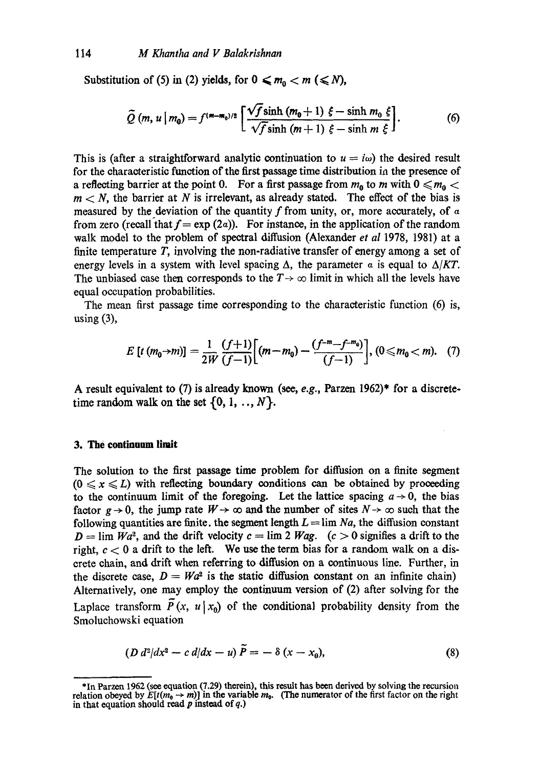Substitution of (5) in (2) yields, for  $0 \le m_0 < m \le N$ ,

$$
\widetilde{Q}(m, u \mid m_0) = f^{(m-m_0)/2} \left[ \frac{\sqrt{f} \sinh (m_0 + 1) \xi - \sinh m_0 \xi}{\sqrt{f} \sinh (m+1) \xi - \sinh m \xi} \right].
$$
 (6)

This is (after a straightforward analytic continuation to  $u = i\omega$ ) the desired result for the charaoteristio function of the first passage time distribution in the presence of a reflecting barrier at the point 0. For a first passage from  $m_0$  to m with  $0 \le m_0$  <  $m < N$ , the barrier at N is irrelevant, as already stated. The effect of the bias is measured by the deviation of the quantity f from unity, or, more accurately, of  $\alpha$ from zero (recall that  $f = \exp(2a)$ ). For instance, in the application of the random walk model to the problem of spectral diffusion (Alexander *et al* 1978, 1981) at a finite temperature  $T$ , involving the non-radiative transfer of energy among a set of energy levels in a system with level spacing  $\Delta$ , the parameter  $\alpha$  is equal to  $\Delta/KT$ . The unbiased case then corresponds to the  $T \rightarrow \infty$  limit in which all the levels have equal occupation probabilities.

The mean first passage time corresponding to the characteristic function (6) is, using  $(3)$ ,

$$
E\left[t\left(m_0\rightarrow m\right)\right] = \frac{1}{2W}\frac{\left(f+1\right)}{\left(f-1\right)}\left[\left(m-m_0\right) - \frac{\left(f^{-m}-f^{-m_0}\right)}{\left(f-1\right)}\right], \quad (0 \le m_0 < m). \quad (7)
$$

A result equivalent to (7) is already known (see, *e.g.,* Parzen 1962)\* for a discretetime random walk on the set  $\{0, 1, ..., N\}.$ 

## **3. The continuum limit**

The solution to the first passage time problem for diffusion on a finite segment  $(0 \le x \le L)$  with reflecting boundary conditions can be obtained by proceeding to the continuum limit of the foregoing. Let the lattice spacing  $a \rightarrow 0$ , the bias factor  $g \to 0$ , the jump rate  $W \to \infty$  and the number of sites  $N \to \infty$  such that the following quantities are finite, the segment length  $L = \lim_{n \to \infty} Na$ , the diffusion constant  $D = \lim_{h \to 0} Wa^2$ , and the drift velocity  $c = \lim_{h \to 0} 2 Wag$ .  $(c > 0$  signifies a drift to the right,  $c < 0$  a drift to the left. We use the term bias for a random walk on a discrete chain, and drift when referring to diffusion on a continuous line. Further, in the discrete case,  $D = Wa^2$  is the static diffusion constant on an infinite chain) Alternatively, one may employ the continuum version of (2) after solving for the Laplace transform  $\tilde{P}(x, u | x_0)$  of the conditional probability density from the Smoluchowski equation

$$
(D d^2/dx^2 - c d/dx - u) \tilde{P} = -\delta (x - x_0),
$$
\n(8)

<sup>\*</sup>In Parzon 1962 (see equation (7.29) therein), this result has been derived by solving the recursion relation obeyed by  $E[t(m_0 \rightarrow m)]$  in the variable  $m_0$ . (The numerator of the first factor on the right in that equation should read  $p$  instead of  $q$ .)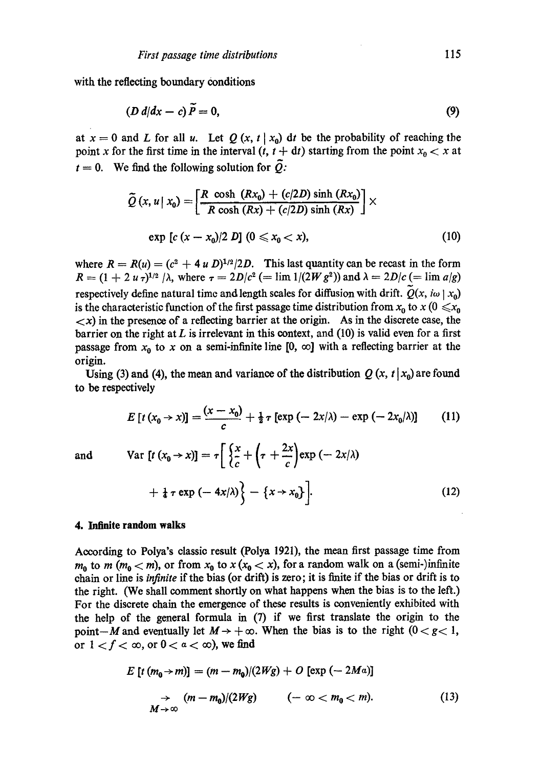with the reflecting boundary conditions

$$
(D d/dx - c) P = 0,
$$
\n(9)

at  $x = 0$  and L for all u. Let  $Q(x, t | x_0)$  dt be the probability of reaching the point x for the first time in the interval  $(t, t + dt)$  starting from the point  $x_0 < x$  at  $t = 0$ . We find the following solution for  $\tilde{Q}$ :

$$
\widetilde{Q}(x, u \mid x_0) = \left[ \frac{R \cosh (Rx_0) + (c/2D) \sinh (Rx_0)}{R \cosh (Rx) + (c/2D) \sinh (Rx)} \right] \times
$$
  
exp [c (x - x<sub>0</sub>)/2 D] (0 \le x<sub>0</sub> < x), (10)

where  $R = R(u) = (c^2 + 4 u D)^{1/2}/2D$ . This last quantity can be recast in the form  $R = (1 + 2 u \tau)^{1/2}/\lambda$ , where  $\tau = 2D/c^2$  (= lim 1/(2W g<sup>2</sup>)) and  $\lambda = 2D/c$  (= lim a/g) respectively define natural time and length scales for diffusion with drift.  $Q(x, i\omega | x_0)$ is the characteristic function of the first passage time distribution from  $x_0$  to  $x$  ( $0 \le x_0$ )  $\langle x \rangle$  in the presence of a reflecting barrier at the origin. As in the discrete case, the barrier on the right at  $L$  is irrelevant in this context, and (10) is valid even for a first passage from  $x_0$  to x on a semi-infinite line [0,  $\infty$ ] with a reflecting barrier at the origin.

Using (3) and (4), the mean and variance of the distribution  $Q(x, t | x_0)$  are found to be respectively

$$
E\left[t\left(x_0\rightarrow x\right)\right] = \frac{(x-x_0)}{c} + \frac{1}{2}\tau\left[\exp\left(-2x/\lambda\right) - \exp\left(-2x_0/\lambda\right)\right] \tag{11}
$$

and 
$$
\text{Var } [t (x_0 \to x)] = \tau \left[ \left\{ \frac{x}{c} + \left( \tau + \frac{2x}{c} \right) \exp(-2x/\lambda) + \frac{1}{4} \tau \exp(-4x/\lambda) \right\} - \left\{ x \to x_0 \right\} \right].
$$
 (12)

#### **4. Infinite random walks**

According to Polya's classic result (Polya 1921), the mean first passage time from  $m_0$  to m ( $m_0 < m$ ), or from  $x_0$  to  $x (x_0 < x)$ , for a random walk on a (semi-)infinite chain or line is *infinite* if the bias (or drift) is zero; it is finite if the bias or drift is to the right. (We shall comment shortly on what happens when the bias is to the left.) For the discrete chain the emergence of these results is conveniently exhibited with the help of the general formula in (7) if we first translate the origin to the point-M and eventually let  $M \rightarrow +\infty$ . When the bias is to the right  $(0 < g < 1,$ or  $1 < f < \infty$ , or  $0 < a < \infty$ ), we find

$$
E\left[t\left(m_0\rightarrow m\right)\right] = \left(m - m_0\right)/(2Wg) + O\left[\exp\left(-2Ma\right)\right]
$$
\n
$$
\rightarrow \left(m - m_0\right)/(2Wg) \qquad \left(-\infty < m_0 < m\right). \tag{13}
$$
\n
$$
M \rightarrow \infty
$$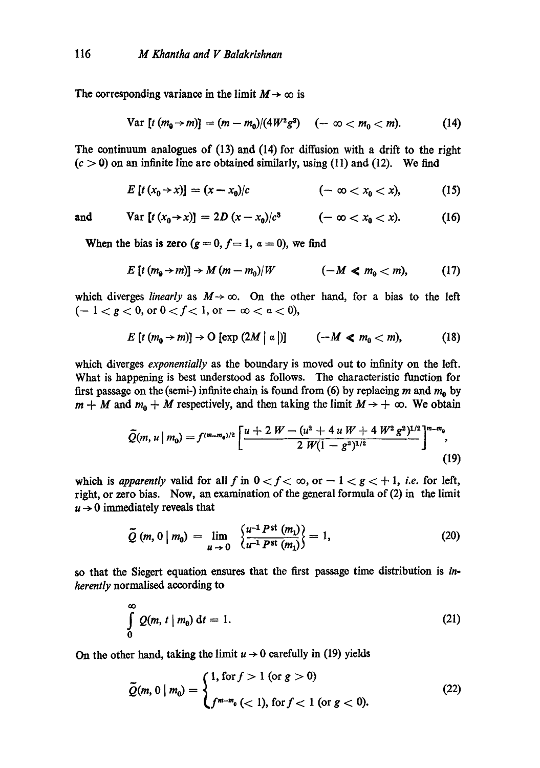The corresponding variance in the limit  $M \to \infty$  is

$$
\text{Var}\left[t\ (m_0\!\rightarrow\! m)\right]=(m-m_0)/(4W^2g^3)\quad(-\infty
$$

The continuum analogues of (13) and (14) for diffusion with a drift to the right  $(c > 0)$  on an infinite line are obtained similarly, using (11) and (12). We find

$$
E[t(x_0 \to x)] = (x - x_0)/c \qquad \qquad (-\infty < x_0 < x), \qquad \qquad (15)
$$

and 
$$
Var [t (x_0 \to x)] = 2D (x - x_0)/c^3
$$
  $(-\infty < x_0 < x).$  (16)

When the bias is zero  $(g = 0, f = 1, \alpha = 0)$ , we find

$$
E\left[t\left(m_{\mathbf{0}}\rightarrow m\right)\right]\rightarrow M\left(m-m_{0}\right)/W\qquad\qquad\left(-M\ll m_{0}
$$

which diverges *linearly* as  $M \rightarrow \infty$ . On the other hand, for a bias to the left  $(-1 < g < 0$ , or  $0 < f < 1$ , or  $-\infty < a < 0$ ),

$$
E\left[t\left(m_{0} \rightarrow m\right)\right] \rightarrow O\left[\exp\left(2M \mid \alpha\right)\right] \qquad \left(-M \ll m_{0} < m\right),\tag{18}
$$

which diverges *exponentially* as the boundary is moved out to infinity on the left. What is happening is best understood as follows. The characteristic function for first passage on the (semi-) infinite chain is found from (6) by replacing m and  $m_0$  by  $m + M$  and  $m_0 + M$  respectively, and then taking the limit  $M \rightarrow +\infty$ . We obtain

$$
\widetilde{Q}(m,u\mid m_0)=f^{(m-m_0)/2}\left[\frac{u+2 W-(u^2+4 u W+4 W^2 g^2)^{1/2}}{2 W(1-g^2)^{1/2}}\right]^{m-m_0},\tag{19}
$$

which is *apparently* valid for all f in  $0 < f < \infty$ , or  $-1 < g < +1$ , *i.e.* for left, right, or zero bias. Now, an examination of the general formula of (2) in the limit  $u \rightarrow 0$  immediately reveals that

$$
\tilde{Q}(m, 0 \mid m_0) = \lim_{u \to 0} \frac{\left\{u^{-1} P^{\text{st}}(m_1)}{u^{-1} P^{\text{st}}(m_1)}\right\}}{1} = 1, \tag{20}
$$

so that the Siegert equation ensures that the first passage time distribution is *inherently* normalised according to

$$
\int_{0}^{\infty} Q(m, t \mid m_0) dt = 1.
$$
 (21)

On the other hand, taking the limit  $u \rightarrow 0$  carefully in (19) yields

$$
\tilde{Q}(m, 0 \mid m_0) = \begin{cases} 1, \text{ for } f > 1 \text{ (or } g > 0) \\ f^{m-m_0} < 1 \text{, for } f < 1 \text{ (or } g < 0). \end{cases} \tag{22}
$$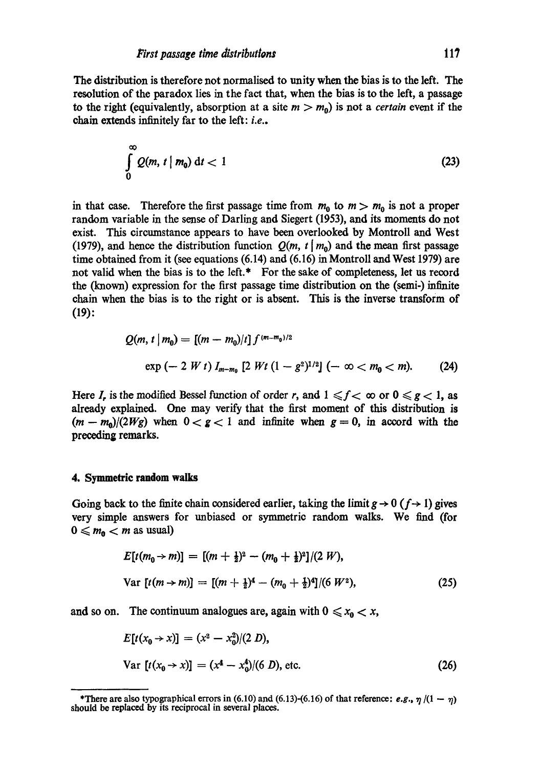The distribution is therefore not normalised to unity when the bias is to the left. The resolution of the paradox lies in the fact that, when the bias is to the left, a passage to the right (equivalently, absorption at a site  $m > m_0$ ) is not a *certain* event if the chain extends infinitely far to the left: *i.e..* 

$$
\int_{0}^{\infty} Q(m, t \mid m_0) \, \mathrm{d}t < 1 \tag{23}
$$

in that case. Therefore the first passage time from  $m_0$  to  $m > m_0$  is not a proper random variable in the sense of Darling and Siegert (1953), and its moments do not exist. This circumstance appears to have been overlooked by Montroll and West (1979), and hence the distribution function  $Q(m, t | m_0)$  and the mean first passage time obtained from it (see equations (6.14) and (6.16) in Montroll and West 1979) are not valid when the bias is to the left.\* For the sake of completeness, let us record the (known) expression for the first passage time distribution on the (semi-) infinite chain when the bias is to the right or is absent. This is the inverse transform of **(19):** 

$$
Q(m, t | m_0) = [(m - m_0)/t] f^{(m - m_0)/2}
$$
  
exp (- 2 W t)  $I_{m - m_0}$  [2 Wt (1 - g<sup>2</sup>)<sup>1/2</sup>] (-  $\infty < m_0 < m$ ). (24)

Here I, is the modified Bessel function of order r, and  $1 \le f < \infty$  or  $0 \le g < 1$ , as already explained. One may verify that the first moment of this distribution is  $(m - m_0)/(2Wg)$  when  $0 < g < 1$  and infinite when  $g = 0$ , in accord with the preceding remarks.

## **4. Symmetric random** walks

Going back to the finite chain considered earlier, taking the limit  $g \to 0$  ( $f \to 1$ ) gives very simple answers for unbiased or symmetric random walks. We find (for  $0 \leq m_0 < m$  as usual)

$$
E[t(m_0 \to m)] = [(m + \frac{1}{2})^2 - (m_0 + \frac{1}{2})^2]/(2 W),
$$
  
Var  $[t(m \to m)] = [(m + \frac{1}{2})^4 - (m_0 + \frac{1}{2})^4]/(6 W^2),$  (25)

and so on. The continuum analogues are, again with  $0 \le x_0 < x$ ,

$$
E[t(x_0 \to x)] = (x^2 - x_0^2)/(2 D),
$$
  
Var  $[t(x_0 \to x)] = (x^4 - x_0^4)/(6 D),$  etc. (26)

<sup>\*</sup>There are also typographical errors in (6.10) and (6.13)-(6.16) of that reference: *e.g.*,  $\eta$  /(1 --  $\eta$ ) should be replaced by its reciprocal in several places.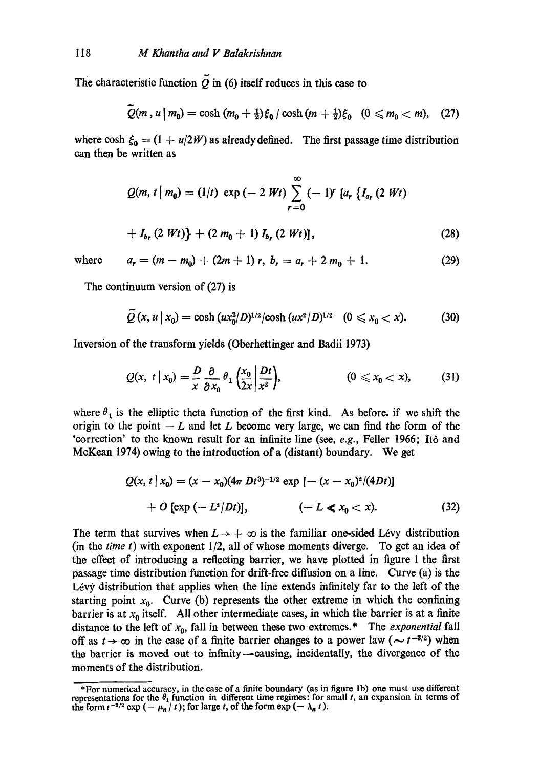The characteristic function  $\tilde{Q}$  in (6) itself reduces in this case to

$$
\widetilde{Q}(m, u \mid m_0) = \cosh (m_0 + \frac{1}{2}) \xi_0 / \cosh (m + \frac{1}{2}) \xi_0 \quad (0 \le m_0 < m), \quad (27)
$$

where cosh  $\zeta_0 = (1 + u/2W)$  as already defined. The first passage time distribution can then be written as

$$
Q(m, t | m_0) = (1/t) \exp(-2 Wt) \sum_{r=0}^{\infty} (-1)^r [a_r \{I_{a_r} (2 Wt) + I_{b_r} (2 Wt) \} + (2 m_0 + 1) I_{b_r} (2 Wt)],
$$
\n(28)

where  $a_r = (m - m_0) + (2m + 1) r$ ,  $b_r = a_r + 2 m_0 + 1$ . (29)

The continuum version of (27) is

$$
Q(x, u \mid x_0) = \cosh (ux_0^2/D)^{1/2} / \cosh (ux^2/D)^{1/2} \quad (0 \le x_0 < x). \tag{30}
$$

Inversion of the transform yields (Oberhettinger and Badii 1973)

$$
Q(x, t \mid x_0) = \frac{D}{x} \frac{\partial}{\partial x_0} \theta_1 \left(\frac{x_0}{2x} \middle| \frac{Dt}{x^2}\right), \qquad (0 \leq x_0 < x), \qquad (31)
$$

where  $\theta_1$  is the elliptic theta function of the first kind. As before, if we shift the origin to the point  $-L$  and let L become very large, we can find the form of the 'correction' to the known result for an infinite line (see, *e.g.,* Feller 1966; It6 and McKean 1974) owing to the introduction of a (distant) boundary. We get

$$
Q(x, t | x_0) = (x - x_0)(4\pi Dt^3)^{-1/2} \exp [-(x - x_0)^2/(4Dt)]
$$
  
+ O [exp (- L<sup>2</sup>/Dt)], (- L < x<sub>0</sub> < x). (32)

The term that survives when  $L \rightarrow +\infty$  is the familiar one-sided Lévy distribution (in the *time t)* with exponent 1/2, all of whose moments diverge. To get an idea of the effect of introducing a reflecting barrier, we have plotted in figure 1 the first passage time distribution function for drift-free diffusion on a line. Curve (a) is the Lévy distribution that applies when the line extends infinitely far to the left of the starting point  $x_0$ . Curve (b) represents the other extreme in which the confining barrier is at  $x_0$  itself. All other intermediate cases, in which the barrier is at a finite distance to the left of  $x_0$ , fall in between these two extremes.\* The *exponential* fall off as  $t \to \infty$  in the case of a finite barrier changes to a power law ( $\sim t^{-3/2}$ ) when the barrier is moved out to infinity--causing, incidentally, the divergence of the moments of the distribution.

<sup>\*</sup>For numerical accuracy, in the ease of a finite boundary (as in figure lb) one must use different representations for the  $\theta_1$  function in different time regimes: for small t, an expansion in terms of the form  $t^{-3/2}$  exp  $(-\mu_n / t)$ ; for large t, of the form exp  $(-\lambda_n t)$ .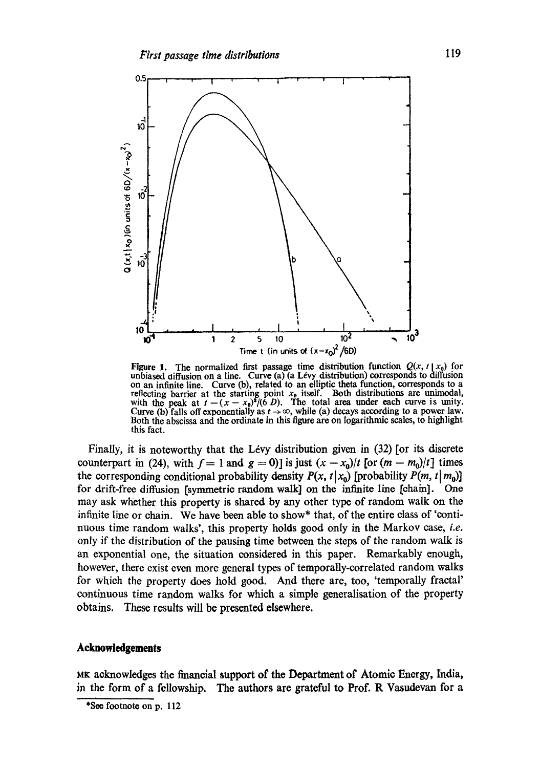

Figure 1. The normalized first passage time distribution function  $Q(x, t | x_0)$  for unbiased diffusion on a line. Curve  $(a)$  (a Lévy distribution) corresponds to diffusion on an infinite line. Curve (b), related to an elliptic theta function, corresponds to a reflecting barrier at the starting point  $x_0$  itself. Both distributions are unimodal, with the peak at  $t = (x - x_0)^2/(6 D)$ . The total area under each curve is unity. Curve (b) falls off exponentially as  $t \to \infty$ , while (a) decays according to a power law. Both the abscissa and the ordinate in this figure are on logarithmic scales, to highlight this fact.

Finally, it is noteworthy that the Lévy distribution given in  $(32)$  [or its discrete counterpart in (24), with  $f = 1$  and  $g = 0$ ] is just  $(x - x_0)/t$  [or  $(m - m_0)/t$ ] times the corresponding conditional probability density  $P(x, t | x_0)$  [probability  $P(m, t | m_0)$ ] for drift-free diffusion [symmetric random walk] on the infinite line [ehain]. One may ask whether this property is shared by any other type of random walk on the infinite line or chain. We have been able to show\* that, of the entire class of 'continuous time random walks', this property holds good only in the Markov ease, *i.e.*  only if the distribution of the pausing time between the steps of the random walk is an exponential one, the situation considered in this paper. Remarkably enough, however, there exist even more general types of temporally-correlated random walks for which the property does hold good. And there are, too, 'temporally fraetal' continuous time random walks for which a simple generalisation of the property obtains. These results will be presented elsewhere.

### **Acknowledgements**

MK acknowledges the financial support of the Department of Atomic Energy, India, in the form of a fellowship, The authors are grateful to Prof. R Vasudcvan for a

<sup>\*</sup>See footnote on p. 112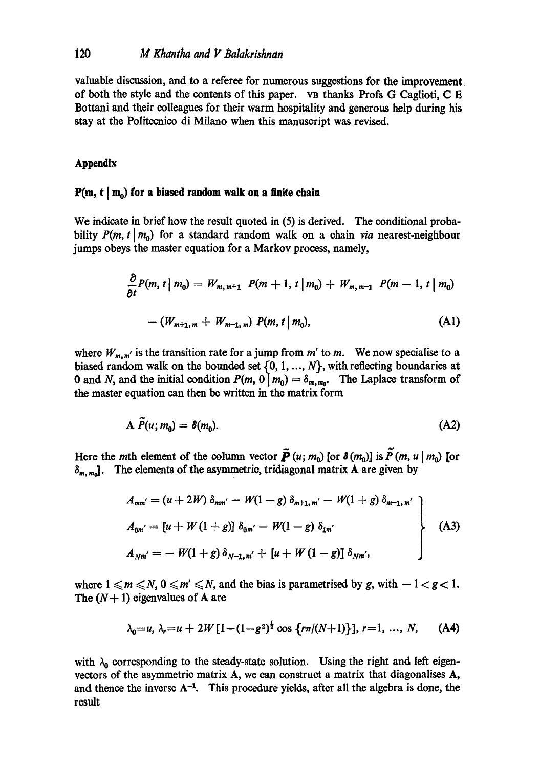valuable discussion, and to a referee for numerous suggestions for the improvement of both the style and the contents of this paper, va thanks Profs G Caglioti, C E Bottani and their colleagues for their warm hospitality and generous help during his stay at the Politecnico di Milano when this manuscript was revised.

## **Appendix**

#### $P(m, t | m_0)$  for a biased random walk on a finite chain

We indicate in brief how the result quoted in (5) is derived. The conditional probability  $P(m, t | m_0)$  for a standard random walk on a chain *via* nearest-neighbour jumps obeys the master equation for a Markov process, namely,

$$
\frac{\partial}{\partial t}P(m, t \mid m_0) = W_{m, m+1} P(m+1, t \mid m_0) + W_{m, m-1} P(m-1, t \mid m_0)
$$

$$
- (W_{m+1, m} + W_{m-1, m}) P(m, t \mid m_0), \tag{A1}
$$

where  $W_{m,m'}$  is the transition rate for a jump from  $m'$  to  $m$ . We now specialise to a biased random walk on the bounded set  $\{0, 1, ..., N\}$ , with reflecting boundaries at 0 and N, and the initial condition  $P(m, 0 | m_0) = \delta_{m,m_0}$ . The Laplace transform of the master equation can then be written in the matrix form

$$
\mathbf{A}\ \widetilde{P}(u; m_0) = \delta(m_0). \tag{A2}
$$

Here the *m*th element of the column vector  $\tilde{P}(u; m_0)$  [or  $\delta(m_0)$ ] is  $\tilde{P}(m, u | m_0)$  [or  $\delta_{m,m_0}$ . The elements of the asymmetric, tridiagonal matrix A are given by

$$
A_{mm'} = (u + 2W) \delta_{mm'} - W(1 - g) \delta_{m+1,m'} - W(1 + g) \delta_{m-1,m'}
$$
  
\n
$$
A_{0m'} = [u + W(1 + g)] \delta_{0m'} - W(1 - g) \delta_{1m'}
$$
  
\n
$$
A_{Nm'} = -W(1 + g) \delta_{N-1,m'} + [u + W(1 - g)] \delta_{Nm'},
$$
\n(A3)

where  $1 \le m \le N$ ,  $0 \le m' \le N$ , and the bias is parametrised by g, with  $-1 < g < 1$ . The  $(N+1)$  eigenvalues of A are

$$
\lambda_0 = u, \ \lambda_r = u + 2W \left[ 1 - (1 - g^2)^{\frac{1}{2}} \cos \left\{ r \pi / (N+1) \right\} \right], \ r = 1, \ \ldots, \ N, \tag{A4}
$$

with  $\lambda_0$  corresponding to the steady-state solution. Using the right and left eigenvectors of the asymmetric matrix A, we can construct a matrix that diagonalises A, and thence the inverse  $A^{-1}$ . This procedure yields, after all the algebra is done, the result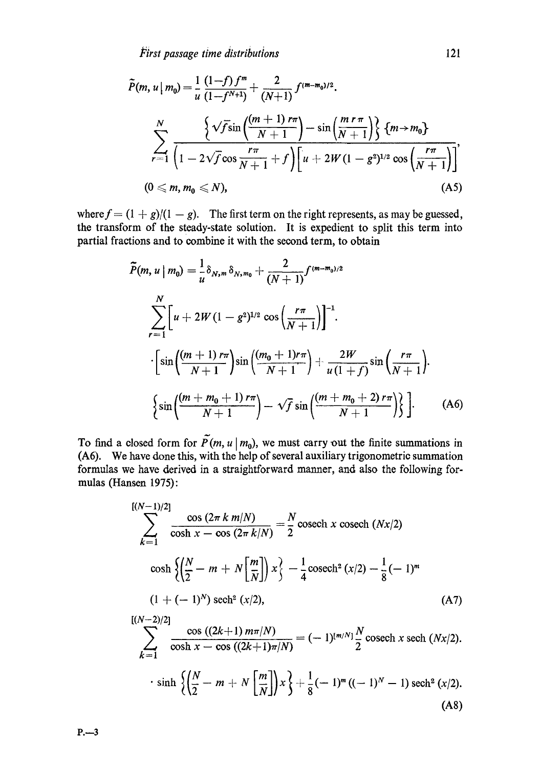$$
\tilde{P}(m, u \mid m_0) = \frac{1}{u} \frac{(1-f) f^m}{(1-f^{N+1})} + \frac{2}{(N+1)} f^{(m-m_0)/2}.
$$
\n
$$
\sum_{r=1}^N \frac{\left\{\sqrt{f} \sin\left(\frac{(m+1) \, r\pi}{N+1}\right) - \sin\left(\frac{m \, r\, \pi}{N+1}\right)\right\} \, \left\{m \to m_0\right\}}{\left(1 - 2\sqrt{f} \cos\frac{r\pi}{N+1} + f\right) \left[u + 2W(1-g^2)^{1/2} \cos\left(\frac{r\pi}{N+1}\right)\right]},
$$
\n
$$
(0 \le m, m_0 \le N),
$$
\n(A5)

where  $f = (1 + g)/(1 - g)$ . The first term on the right represents, as may be guessed, the transform of the steady-state solution. It is expedient to split this term into partial fractions and to combine it with the second term, to obtain

$$
\tilde{P}(m, u \mid m_0) = \frac{1}{u} \delta_{N, m} \delta_{N, m_0} + \frac{2}{(N+1)} f^{(m-m_0)/2}
$$
\n
$$
\sum_{r=1}^{N} \left[ u + 2W(1 - g^2)^{1/2} \cos\left(\frac{r\pi}{N+1}\right) \right]^{-1}.
$$
\n
$$
\cdot \left[ \sin\left(\frac{(m+1) r\pi}{N+1}\right) \sin\left(\frac{(m_0 + 1) r\pi}{N+1}\right) + \frac{2W}{u(1+f)} \sin\left(\frac{r\pi}{N+1}\right) \right].
$$
\n
$$
\left\{ \sin\left(\frac{(m+m_0+1) r\pi}{N+1}\right) - \sqrt{f} \sin\left(\frac{(m+m_0+2) r\pi}{N+1}\right) \right\} \right].
$$
\n(A6)

To find a closed form for  $\tilde{P}(m, u | m_0)$ , we must carry out the finite summations in (A6). We have done this, with the help of several auxiliary trigonometric summation formulas we have derived in a straightforward manner, and also the following formulas (Hansen 1975):

$$
\sum_{k=1}^{[(N-1)/2]} \frac{\cos (2\pi k m/N)}{\cosh x - \cos (2\pi k/N)} = \frac{N}{2} \operatorname{cosech} x \operatorname{cosech} (Nx/2)
$$
  
\n
$$
\cosh \left\{ \left( \frac{N}{2} - m + N \left[ \frac{m}{N} \right] \right) x \right\} - \frac{1}{4} \operatorname{cosech}^2 (x/2) - \frac{1}{8} (-1)^m
$$
  
\n
$$
(1 + (-1)^N) \operatorname{sech}^2 (x/2),
$$
  
\n
$$
\sum_{k=1}^{[(N-2)/2]} \frac{\cos ((2k+1) m \pi/N)}{\cosh x - \cos ((2k+1) \pi/N)} = (-1)^{[m/N]} \frac{N}{2} \operatorname{cosech} x \operatorname{sech} (Nx/2).
$$
  
\n
$$
\cdot \sinh \left\{ \left( \frac{N}{2} - m + N \left[ \frac{m}{N} \right] \right) x \right\} + \frac{1}{8} (-1)^m ((-1)^N - 1) \operatorname{sech}^2 (x/2).
$$
  
\n(A8)